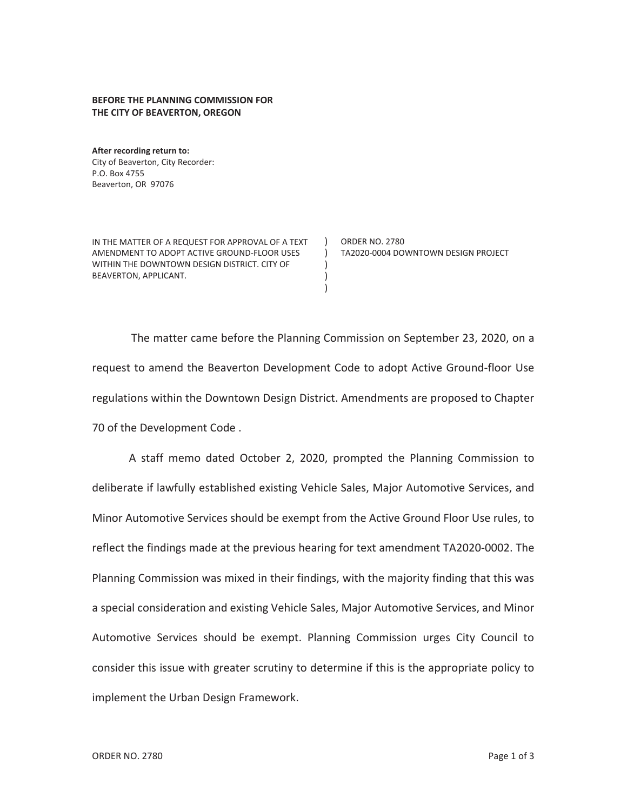## **BEFORE THE PLANNING COMMISSION FOR THE CITY OF BEAVERTON, OREGON**

**After recording return to:**  City of Beaverton, City Recorder: P.O. Box 4755 Beaverton, OR 97076

IN THE MATTER OF A REQUEST FOR APPROVAL OF A TEXT AMENDMENT TO ADOPT ACTIVE GROUND-FLOOR USES WITHIN THE DOWNTOWN DESIGN DISTRICT. CITY OF BEAVERTON, APPLICANT.

ORDER NO. 2780 TA2020-0004 DOWNTOWN DESIGN PROJECT

The matter came before the Planning Commission on September 23, 2020, on a request to amend the Beaverton Development Code to adopt Active Ground-floor Use regulations within the Downtown Design District. Amendments are proposed to Chapter 70 of the Development Code .

 $\lambda$  $\left( \right)$ ) ) )

A staff memo dated October 2, 2020, prompted the Planning Commission to deliberate if lawfully established existing Vehicle Sales, Major Automotive Services, and Minor Automotive Services should be exempt from the Active Ground Floor Use rules, to reflect the findings made at the previous hearing for text amendment TA2020-0002. The Planning Commission was mixed in their findings, with the majority finding that this was a special consideration and existing Vehicle Sales, Major Automotive Services, and Minor Automotive Services should be exempt. Planning Commission urges City Council to consider this issue with greater scrutiny to determine if this is the appropriate policy to implement the Urban Design Framework.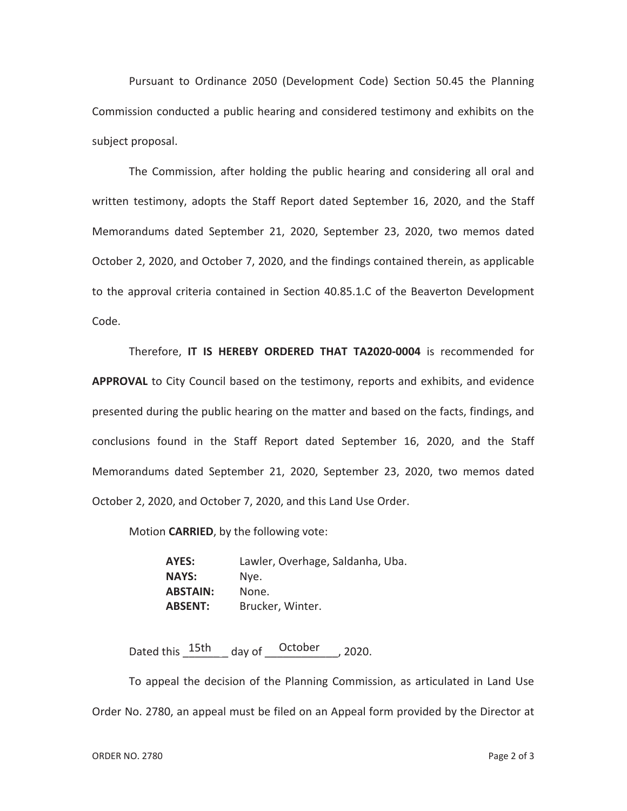Pursuant to Ordinance 2050 (Development Code) Section 50.45 the Planning Commission conducted a public hearing and considered testimony and exhibits on the subject proposal.

The Commission, after holding the public hearing and considering all oral and written testimony, adopts the Staff Report dated September 16, 2020, and the Staff Memorandums dated September 21, 2020, September 23, 2020, two memos dated October 2, 2020, and October 7, 2020, and the findings contained therein, as applicable to the approval criteria contained in Section 40.85.1.C of the Beaverton Development Code.

Therefore, **IT IS HEREBY ORDERED THAT TA2020-0004** is recommended for **APPROVAL** to City Council based on the testimony, reports and exhibits, and evidence presented during the public hearing on the matter and based on the facts, findings, and conclusions found in the Staff Report dated September 16, 2020, and the Staff Memorandums dated September 21, 2020, September 23, 2020, two memos dated October 2, 2020, and October 7, 2020, and this Land Use Order.

Motion **CARRIED**, by the following vote:

**AYES:** Lawler, Overhage, Saldanha, Uba. **NAYS:** Nye. **ABSTAIN:** None. **ABSENT:** Brucker, Winter.

Dated this  $\frac{15th}{\pi}$  day of  $\frac{\text{October}}{\pi}$ , 2020.

To appeal the decision of the Planning Commission, as articulated in Land Use Order No. 2780, an appeal must be filed on an Appeal form provided by the Director at